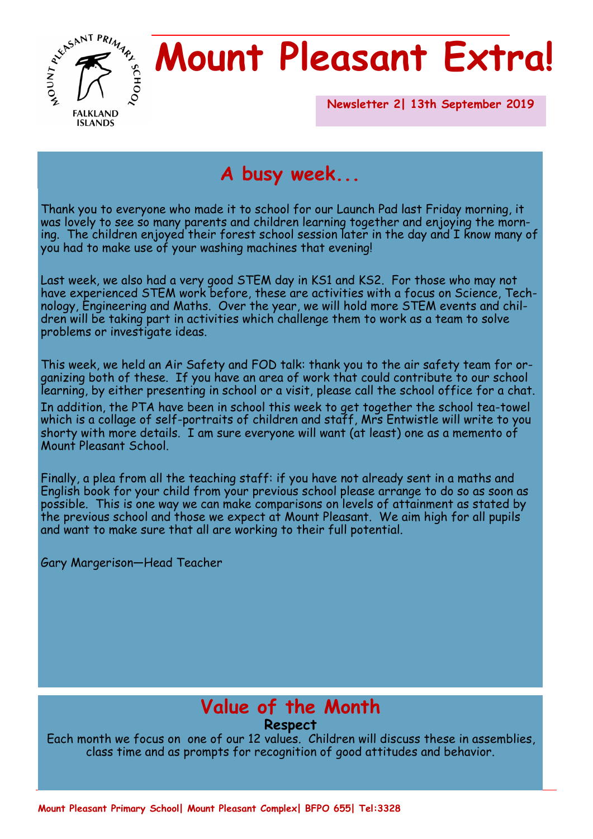

# **Mount Pleasant Extra!**

**Newsletter 2| 13th September 2019** 

## **A busy week...**

Thank you to everyone who made it to school for our Launch Pad last Friday morning, it was lovely to see so many parents and children learning together and enjoying the morning. The children enjoyed their forest school session later in the day and I know many of you had to make use of your washing machines that evening!

Last week, we also had a very good STEM day in KS1 and KS2. For those who may not have experienced STEM work before, these are activities with a focus on Science, Technology, Engineering and Maths. Over the year, we will hold more STEM events and children will be taking part in activities which challenge them to work as a team to solve problems or investigate ideas.

This week, we held an Air Safety and FOD talk: thank you to the air safety team for organizing both of these. If you have an area of work that could contribute to our school learning, by either presenting in school or a visit, please call the school office for a chat. In addition, the PTA have been in school this week to get together the school tea-towel which is a collage of self-portraits of children and staff, Mrs Entwistle will write to you shorty with more details. I am sure everyone will want (at least) one as a memento of Mount Pleasant School.

Finally, a plea from all the teaching staff: if you have not already sent in a maths and English book for your child from your previous school please arrange to do so as soon as possible. This is one way we can make comparisons on levels of attainment as stated by the previous school and those we expect at Mount Pleasant. We aim high for all pupils and want to make sure that all are working to their full potential.

Gary Margerison—Head Teacher

## **Value of the Month**

#### **Respect**

Each month we focus on one of our 12 values. Children will discuss these in assemblies, class time and as prompts for recognition of good attitudes and behavior.

**Mount Pleasant Primary School| Mount Pleasant Complex| BFPO 655| Tel:3328**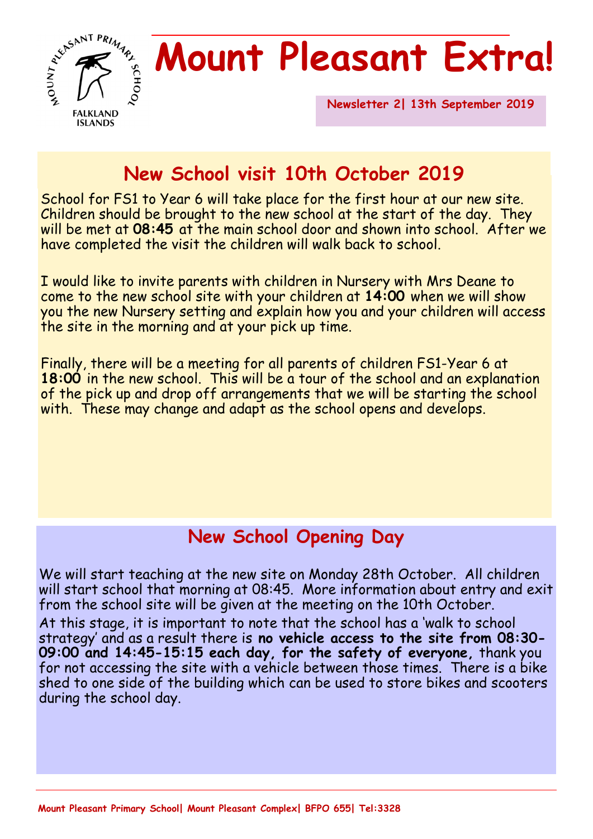

# **Mount Pleasant Extra!**

**Newsletter 2| 13th September 2019** 

## **New School visit 10th October 2019**

School for FS1 to Year 6 will take place for the first hour at our new site. Children should be brought to the new school at the start of the day. They will be met at **08:45** at the main school door and shown into school. After we have completed the visit the children will walk back to school.

I would like to invite parents with children in Nursery with Mrs Deane to come to the new school site with your children at **14:00** when we will show you the new Nursery setting and explain how you and your children will access the site in the morning and at your pick up time.

Finally, there will be a meeting for all parents of children FS1-Year 6 at **18:00** in the new school. This will be a tour of the school and an explanation of the pick up and drop off arrangements that we will be starting the school with. These may change and adapt as the school opens and develops.

### **New School Opening Day**

We will start teaching at the new site on Monday 28th October. All children will start school that morning at 08:45. More information about entry and exit from the school site will be given at the meeting on the 10th October.

At this stage, it is important to note that the school has a 'walk to school strategy' and as a result there is **no vehicle access to the site from 08:30- 09:00 and 14:45-15:15 each day, for the safety of everyone,** thank you for not accessing the site with a vehicle between those times. There is a bike shed to one side of the building which can be used to store bikes and scooters during the school day.